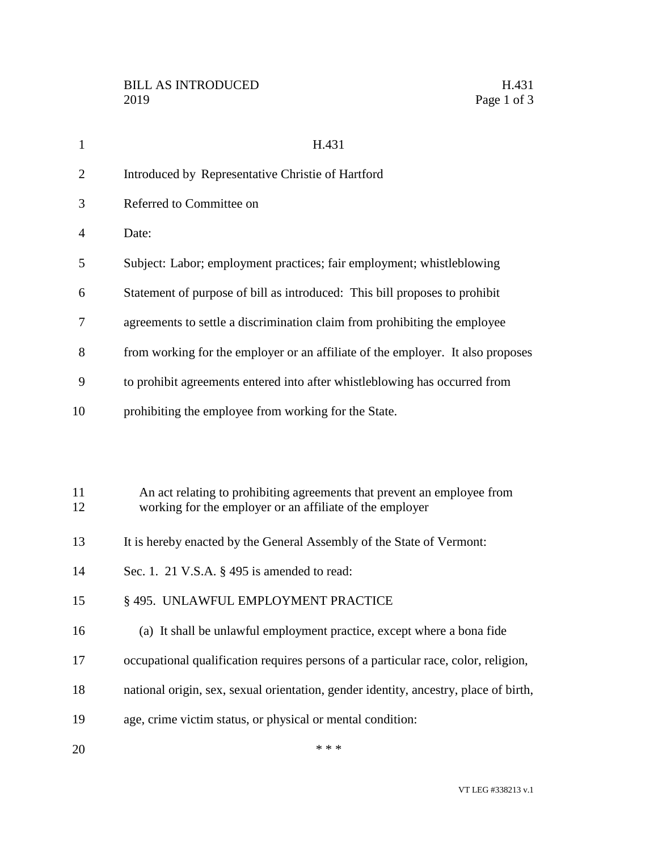| $\mathbf{1}$   | H.431                                                                                                                               |
|----------------|-------------------------------------------------------------------------------------------------------------------------------------|
| $\overline{2}$ | Introduced by Representative Christie of Hartford                                                                                   |
| 3              | Referred to Committee on                                                                                                            |
| 4              | Date:                                                                                                                               |
| 5              | Subject: Labor; employment practices; fair employment; whistleblowing                                                               |
| 6              | Statement of purpose of bill as introduced: This bill proposes to prohibit                                                          |
| 7              | agreements to settle a discrimination claim from prohibiting the employee                                                           |
| 8              | from working for the employer or an affiliate of the employer. It also proposes                                                     |
| 9              | to prohibit agreements entered into after whistleblowing has occurred from                                                          |
| 10             | prohibiting the employee from working for the State.                                                                                |
|                |                                                                                                                                     |
|                |                                                                                                                                     |
| 11<br>12       | An act relating to prohibiting agreements that prevent an employee from<br>working for the employer or an affiliate of the employer |
| 13             | It is hereby enacted by the General Assembly of the State of Vermont:                                                               |
| 14             | Sec. 1. 21 V.S.A. § 495 is amended to read:                                                                                         |
| 15             | § 495. UNLAWFUL EMPLOYMENT PRACTICE                                                                                                 |
|                |                                                                                                                                     |
| 16             | (a) It shall be unlawful employment practice, except where a bona fide                                                              |

- occupational qualification requires persons of a particular race, color, religion,
- national origin, sex, sexual orientation, gender identity, ancestry, place of birth,
- age, crime victim status, or physical or mental condition:
- $***$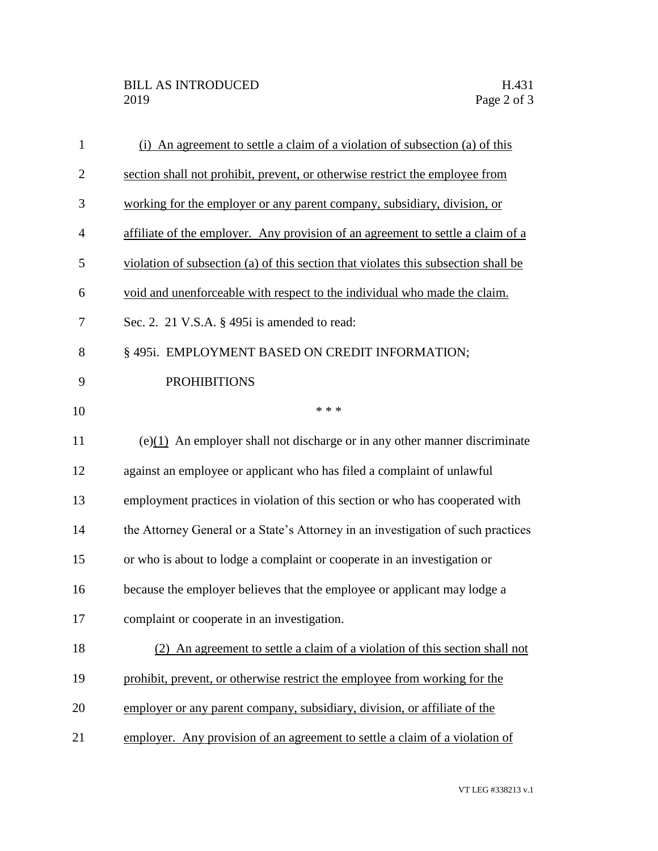| $\mathbf{1}$ | (i) An agreement to settle a claim of a violation of subsection (a) of this        |
|--------------|------------------------------------------------------------------------------------|
| $\mathbf{2}$ | section shall not prohibit, prevent, or otherwise restrict the employee from       |
| 3            | working for the employer or any parent company, subsidiary, division, or           |
| 4            | affiliate of the employer. Any provision of an agreement to settle a claim of a    |
| 5            | violation of subsection (a) of this section that violates this subsection shall be |
| 6            | void and unenforceable with respect to the individual who made the claim.          |
| 7            | Sec. 2. 21 V.S.A. § 495i is amended to read:                                       |
| 8            | § 495i. EMPLOYMENT BASED ON CREDIT INFORMATION;                                    |
| 9            | <b>PROHIBITIONS</b>                                                                |
| 10           | * * *                                                                              |
| 11           | $(e)(1)$ An employer shall not discharge or in any other manner discriminate       |
| 12           | against an employee or applicant who has filed a complaint of unlawful             |
| 13           | employment practices in violation of this section or who has cooperated with       |
| 14           | the Attorney General or a State's Attorney in an investigation of such practices   |
| 15           | or who is about to lodge a complaint or cooperate in an investigation or           |
| 16           | because the employer believes that the employee or applicant may lodge a           |
| 17           | complaint or cooperate in an investigation.                                        |
| 18           | An agreement to settle a claim of a violation of this section shall not            |
| 19           | prohibit, prevent, or otherwise restrict the employee from working for the         |
| 20           | employer or any parent company, subsidiary, division, or affiliate of the          |
| 21           | employer. Any provision of an agreement to settle a claim of a violation of        |